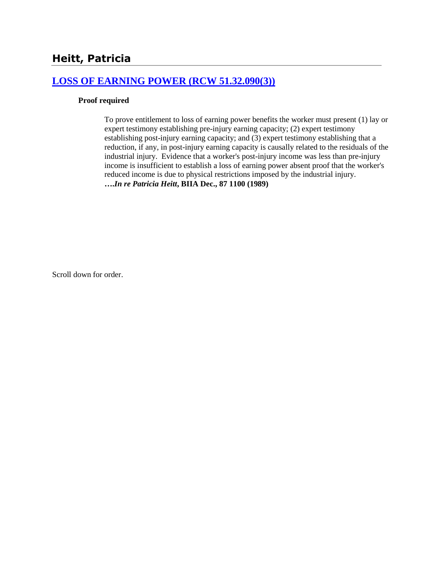# **Heitt, Patricia**

# **[LOSS OF EARNING POWER \(RCW 51.32.090\(3\)\)](http://www.biia.wa.gov/SDSubjectIndex.html#LOSS_OF_EARNING_POWER)**

### **Proof required**

To prove entitlement to loss of earning power benefits the worker must present (1) lay or expert testimony establishing pre-injury earning capacity; (2) expert testimony establishing post-injury earning capacity; and (3) expert testimony establishing that a reduction, if any, in post-injury earning capacity is causally related to the residuals of the industrial injury. Evidence that a worker's post-injury income was less than pre-injury income is insufficient to establish a loss of earning power absent proof that the worker's reduced income is due to physical restrictions imposed by the industrial injury. **….***In re Patricia Heitt***, BIIA Dec., 87 1100 (1989)** 

Scroll down for order.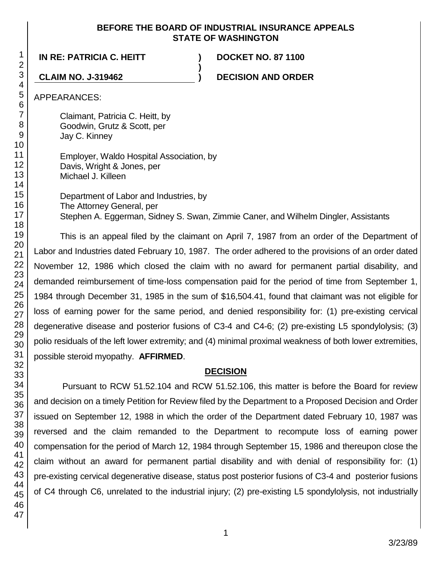### **BEFORE THE BOARD OF INDUSTRIAL INSURANCE APPEALS STATE OF WASHINGTON**

**)**

**IN RE: PATRICIA C. HEITT ) DOCKET NO. 87 1100**

**CLAIM NO. J-319462 ) DECISION AND ORDER**

APPEARANCES:

Claimant, Patricia C. Heitt, by Goodwin, Grutz & Scott, per Jay C. Kinney

Employer, Waldo Hospital Association, by Davis, Wright & Jones, per Michael J. Killeen

Department of Labor and Industries, by The Attorney General, per Stephen A. Eggerman, Sidney S. Swan, Zimmie Caner, and Wilhelm Dingler, Assistants

This is an appeal filed by the claimant on April 7, 1987 from an order of the Department of Labor and Industries dated February 10, 1987. The order adhered to the provisions of an order dated November 12, 1986 which closed the claim with no award for permanent partial disability, and demanded reimbursement of time-loss compensation paid for the period of time from September 1, 1984 through December 31, 1985 in the sum of \$16,504.41, found that claimant was not eligible for loss of earning power for the same period, and denied responsibility for: (1) pre-existing cervical degenerative disease and posterior fusions of C3-4 and C4-6; (2) pre-existing L5 spondylolysis; (3) polio residuals of the left lower extremity; and (4) minimal proximal weakness of both lower extremities, possible steroid myopathy. **AFFIRMED**.

## **DECISION**

Pursuant to RCW 51.52.104 and RCW 51.52.106, this matter is before the Board for review and decision on a timely Petition for Review filed by the Department to a Proposed Decision and Order issued on September 12, 1988 in which the order of the Department dated February 10, 1987 was reversed and the claim remanded to the Department to recompute loss of earning power compensation for the period of March 12, 1984 through September 15, 1986 and thereupon close the claim without an award for permanent partial disability and with denial of responsibility for: (1) pre-existing cervical degenerative disease, status post posterior fusions of C3-4 and posterior fusions of C4 through C6, unrelated to the industrial injury; (2) pre-existing L5 spondylolysis, not industrially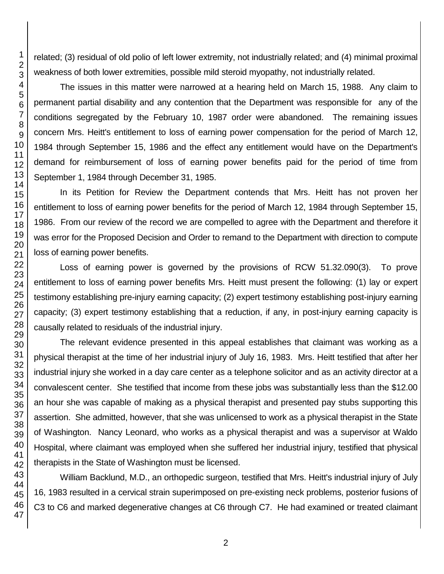related; (3) residual of old polio of left lower extremity, not industrially related; and (4) minimal proximal weakness of both lower extremities, possible mild steroid myopathy, not industrially related.

The issues in this matter were narrowed at a hearing held on March 15, 1988. Any claim to permanent partial disability and any contention that the Department was responsible for any of the conditions segregated by the February 10, 1987 order were abandoned. The remaining issues concern Mrs. Heitt's entitlement to loss of earning power compensation for the period of March 12, 1984 through September 15, 1986 and the effect any entitlement would have on the Department's demand for reimbursement of loss of earning power benefits paid for the period of time from September 1, 1984 through December 31, 1985.

In its Petition for Review the Department contends that Mrs. Heitt has not proven her entitlement to loss of earning power benefits for the period of March 12, 1984 through September 15, 1986. From our review of the record we are compelled to agree with the Department and therefore it was error for the Proposed Decision and Order to remand to the Department with direction to compute loss of earning power benefits.

Loss of earning power is governed by the provisions of RCW 51.32.090(3). To prove entitlement to loss of earning power benefits Mrs. Heitt must present the following: (1) lay or expert testimony establishing pre-injury earning capacity; (2) expert testimony establishing post-injury earning capacity; (3) expert testimony establishing that a reduction, if any, in post-injury earning capacity is causally related to residuals of the industrial injury.

The relevant evidence presented in this appeal establishes that claimant was working as a physical therapist at the time of her industrial injury of July 16, 1983. Mrs. Heitt testified that after her industrial injury she worked in a day care center as a telephone solicitor and as an activity director at a convalescent center. She testified that income from these jobs was substantially less than the \$12.00 an hour she was capable of making as a physical therapist and presented pay stubs supporting this assertion. She admitted, however, that she was unlicensed to work as a physical therapist in the State of Washington. Nancy Leonard, who works as a physical therapist and was a supervisor at Waldo Hospital, where claimant was employed when she suffered her industrial injury, testified that physical therapists in the State of Washington must be licensed.

William Backlund, M.D., an orthopedic surgeon, testified that Mrs. Heitt's industrial injury of July 16, 1983 resulted in a cervical strain superimposed on pre-existing neck problems, posterior fusions of C3 to C6 and marked degenerative changes at C6 through C7. He had examined or treated claimant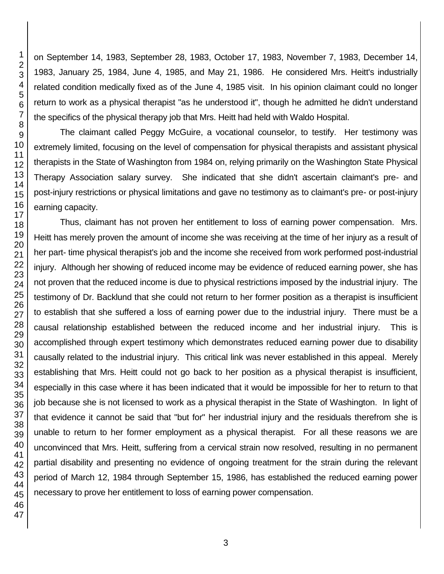on September 14, 1983, September 28, 1983, October 17, 1983, November 7, 1983, December 14, 1983, January 25, 1984, June 4, 1985, and May 21, 1986. He considered Mrs. Heitt's industrially related condition medically fixed as of the June 4, 1985 visit. In his opinion claimant could no longer return to work as a physical therapist "as he understood it", though he admitted he didn't understand the specifics of the physical therapy job that Mrs. Heitt had held with Waldo Hospital.

The claimant called Peggy McGuire, a vocational counselor, to testify. Her testimony was extremely limited, focusing on the level of compensation for physical therapists and assistant physical therapists in the State of Washington from 1984 on, relying primarily on the Washington State Physical Therapy Association salary survey. She indicated that she didn't ascertain claimant's pre- and post-injury restrictions or physical limitations and gave no testimony as to claimant's pre- or post-injury earning capacity.

Thus, claimant has not proven her entitlement to loss of earning power compensation. Mrs. Heitt has merely proven the amount of income she was receiving at the time of her injury as a result of her part- time physical therapist's job and the income she received from work performed post-industrial injury. Although her showing of reduced income may be evidence of reduced earning power, she has not proven that the reduced income is due to physical restrictions imposed by the industrial injury. The testimony of Dr. Backlund that she could not return to her former position as a therapist is insufficient to establish that she suffered a loss of earning power due to the industrial injury. There must be a causal relationship established between the reduced income and her industrial injury. This is accomplished through expert testimony which demonstrates reduced earning power due to disability causally related to the industrial injury. This critical link was never established in this appeal. Merely establishing that Mrs. Heitt could not go back to her position as a physical therapist is insufficient, especially in this case where it has been indicated that it would be impossible for her to return to that job because she is not licensed to work as a physical therapist in the State of Washington. In light of that evidence it cannot be said that "but for" her industrial injury and the residuals therefrom she is unable to return to her former employment as a physical therapist. For all these reasons we are unconvinced that Mrs. Heitt, suffering from a cervical strain now resolved, resulting in no permanent partial disability and presenting no evidence of ongoing treatment for the strain during the relevant period of March 12, 1984 through September 15, 1986, has established the reduced earning power necessary to prove her entitlement to loss of earning power compensation.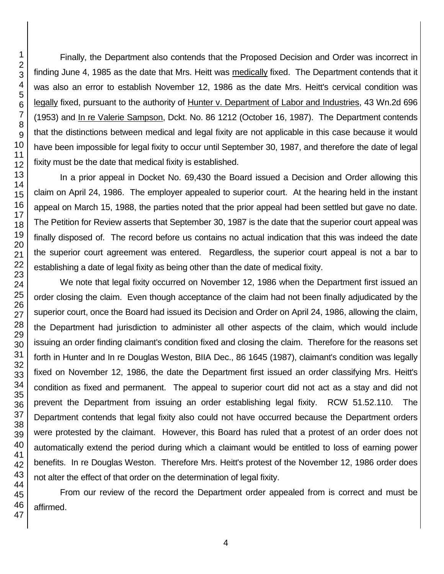Finally, the Department also contends that the Proposed Decision and Order was incorrect in finding June 4, 1985 as the date that Mrs. Heitt was medically fixed. The Department contends that it was also an error to establish November 12, 1986 as the date Mrs. Heitt's cervical condition was legally fixed, pursuant to the authority of Hunter v. Department of Labor and Industries, 43 Wn.2d 696 (1953) and In re Valerie Sampson, Dckt. No. 86 1212 (October 16, 1987). The Department contends that the distinctions between medical and legal fixity are not applicable in this case because it would have been impossible for legal fixity to occur until September 30, 1987, and therefore the date of legal fixity must be the date that medical fixity is established.

In a prior appeal in Docket No. 69,430 the Board issued a Decision and Order allowing this claim on April 24, 1986. The employer appealed to superior court. At the hearing held in the instant appeal on March 15, 1988, the parties noted that the prior appeal had been settled but gave no date. The Petition for Review asserts that September 30, 1987 is the date that the superior court appeal was finally disposed of. The record before us contains no actual indication that this was indeed the date the superior court agreement was entered. Regardless, the superior court appeal is not a bar to establishing a date of legal fixity as being other than the date of medical fixity.

We note that legal fixity occurred on November 12, 1986 when the Department first issued an order closing the claim. Even though acceptance of the claim had not been finally adjudicated by the superior court, once the Board had issued its Decision and Order on April 24, 1986, allowing the claim, the Department had jurisdiction to administer all other aspects of the claim, which would include issuing an order finding claimant's condition fixed and closing the claim. Therefore for the reasons set forth in Hunter and In re Douglas Weston, BIIA Dec., 86 1645 (1987), claimant's condition was legally fixed on November 12, 1986, the date the Department first issued an order classifying Mrs. Heitt's condition as fixed and permanent. The appeal to superior court did not act as a stay and did not prevent the Department from issuing an order establishing legal fixity. RCW 51.52.110. The Department contends that legal fixity also could not have occurred because the Department orders were protested by the claimant. However, this Board has ruled that a protest of an order does not automatically extend the period during which a claimant would be entitled to loss of earning power benefits. In re Douglas Weston. Therefore Mrs. Heitt's protest of the November 12, 1986 order does not alter the effect of that order on the determination of legal fixity.

From our review of the record the Department order appealed from is correct and must be affirmed.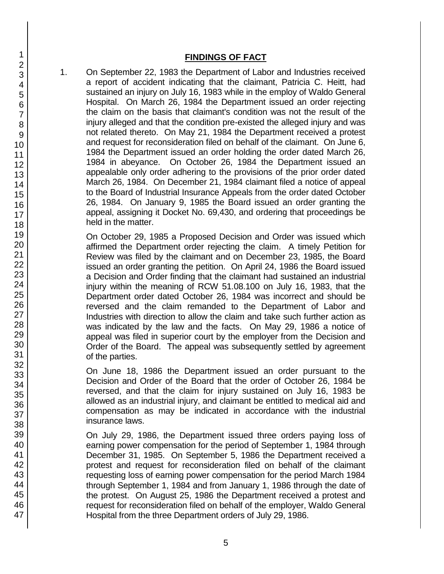### **FINDINGS OF FACT**

1. On September 22, 1983 the Department of Labor and Industries received a report of accident indicating that the claimant, Patricia C. Heitt, had sustained an injury on July 16, 1983 while in the employ of Waldo General Hospital. On March 26, 1984 the Department issued an order rejecting the claim on the basis that claimant's condition was not the result of the injury alleged and that the condition pre-existed the alleged injury and was not related thereto. On May 21, 1984 the Department received a protest and request for reconsideration filed on behalf of the claimant. On June 6, 1984 the Department issued an order holding the order dated March 26, 1984 in abeyance. On October 26, 1984 the Department issued an appealable only order adhering to the provisions of the prior order dated March 26, 1984. On December 21, 1984 claimant filed a notice of appeal to the Board of Industrial Insurance Appeals from the order dated October 26, 1984. On January 9, 1985 the Board issued an order granting the appeal, assigning it Docket No. 69,430, and ordering that proceedings be held in the matter.

On October 29, 1985 a Proposed Decision and Order was issued which affirmed the Department order rejecting the claim. A timely Petition for Review was filed by the claimant and on December 23, 1985, the Board issued an order granting the petition. On April 24, 1986 the Board issued a Decision and Order finding that the claimant had sustained an industrial injury within the meaning of RCW 51.08.100 on July 16, 1983, that the Department order dated October 26, 1984 was incorrect and should be reversed and the claim remanded to the Department of Labor and Industries with direction to allow the claim and take such further action as was indicated by the law and the facts. On May 29, 1986 a notice of appeal was filed in superior court by the employer from the Decision and Order of the Board. The appeal was subsequently settled by agreement of the parties.

On June 18, 1986 the Department issued an order pursuant to the Decision and Order of the Board that the order of October 26, 1984 be reversed, and that the claim for injury sustained on July 16, 1983 be allowed as an industrial injury, and claimant be entitled to medical aid and compensation as may be indicated in accordance with the industrial insurance laws.

On July 29, 1986, the Department issued three orders paying loss of earning power compensation for the period of September 1, 1984 through December 31, 1985. On September 5, 1986 the Department received a protest and request for reconsideration filed on behalf of the claimant requesting loss of earning power compensation for the period March 1984 through September 1, 1984 and from January 1, 1986 through the date of the protest. On August 25, 1986 the Department received a protest and request for reconsideration filed on behalf of the employer, Waldo General Hospital from the three Department orders of July 29, 1986.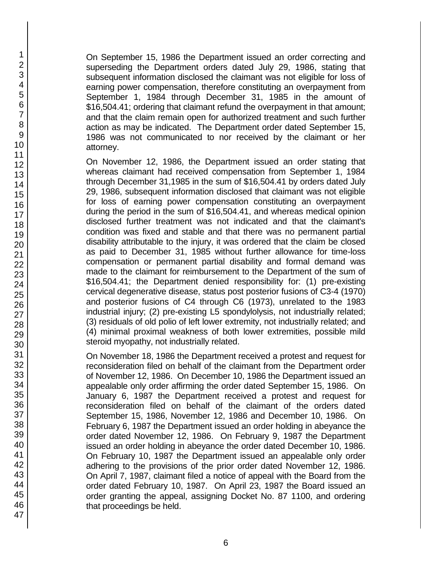On September 15, 1986 the Department issued an order correcting and superseding the Department orders dated July 29, 1986, stating that subsequent information disclosed the claimant was not eligible for loss of earning power compensation, therefore constituting an overpayment from September 1, 1984 through December 31, 1985 in the amount of \$16,504.41; ordering that claimant refund the overpayment in that amount; and that the claim remain open for authorized treatment and such further action as may be indicated. The Department order dated September 15, 1986 was not communicated to nor received by the claimant or her attorney.

On November 12, 1986, the Department issued an order stating that whereas claimant had received compensation from September 1, 1984 through December 31,1985 in the sum of \$16,504.41 by orders dated July 29, 1986, subsequent information disclosed that claimant was not eligible for loss of earning power compensation constituting an overpayment during the period in the sum of \$16,504.41, and whereas medical opinion disclosed further treatment was not indicated and that the claimant's condition was fixed and stable and that there was no permanent partial disability attributable to the injury, it was ordered that the claim be closed as paid to December 31, 1985 without further allowance for time-loss compensation or permanent partial disability and formal demand was made to the claimant for reimbursement to the Department of the sum of \$16,504.41; the Department denied responsibility for: (1) pre-existing cervical degenerative disease, status post posterior fusions of C3-4 (1970) and posterior fusions of C4 through C6 (1973), unrelated to the 1983 industrial injury; (2) pre-existing L5 spondylolysis, not industrially related; (3) residuals of old polio of left lower extremity, not industrially related; and (4) minimal proximal weakness of both lower extremities, possible mild steroid myopathy, not industrially related.

On November 18, 1986 the Department received a protest and request for reconsideration filed on behalf of the claimant from the Department order of November 12, 1986. On December 10, 1986 the Department issued an appealable only order affirming the order dated September 15, 1986. On January 6, 1987 the Department received a protest and request for reconsideration filed on behalf of the claimant of the orders dated September 15, 1986, November 12, 1986 and December 10, 1986. On February 6, 1987 the Department issued an order holding in abeyance the order dated November 12, 1986. On February 9, 1987 the Department issued an order holding in abeyance the order dated December 10, 1986. On February 10, 1987 the Department issued an appealable only order adhering to the provisions of the prior order dated November 12, 1986. On April 7, 1987, claimant filed a notice of appeal with the Board from the order dated February 10, 1987. On April 23, 1987 the Board issued an order granting the appeal, assigning Docket No. 87 1100, and ordering that proceedings be held.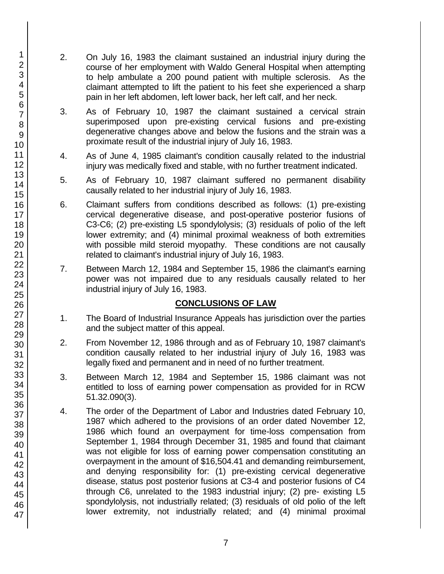- 2. On July 16, 1983 the claimant sustained an industrial injury during the course of her employment with Waldo General Hospital when attempting to help ambulate a 200 pound patient with multiple sclerosis. As the claimant attempted to lift the patient to his feet she experienced a sharp pain in her left abdomen, left lower back, her left calf, and her neck.
- 3. As of February 10, 1987 the claimant sustained a cervical strain superimposed upon pre-existing cervical fusions and pre-existing degenerative changes above and below the fusions and the strain was a proximate result of the industrial injury of July 16, 1983.
- 4. As of June 4, 1985 claimant's condition causally related to the industrial injury was medically fixed and stable, with no further treatment indicated.
- 5. As of February 10, 1987 claimant suffered no permanent disability causally related to her industrial injury of July 16, 1983.
- 6. Claimant suffers from conditions described as follows: (1) pre-existing cervical degenerative disease, and post-operative posterior fusions of C3-C6; (2) pre-existing L5 spondylolysis; (3) residuals of polio of the left lower extremity; and (4) minimal proximal weakness of both extremities with possible mild steroid myopathy. These conditions are not causally related to claimant's industrial injury of July 16, 1983.
- 7. Between March 12, 1984 and September 15, 1986 the claimant's earning power was not impaired due to any residuals causally related to her industrial injury of July 16, 1983.

# **CONCLUSIONS OF LAW**

- 1. The Board of Industrial Insurance Appeals has jurisdiction over the parties and the subject matter of this appeal.
- 2. From November 12, 1986 through and as of February 10, 1987 claimant's condition causally related to her industrial injury of July 16, 1983 was legally fixed and permanent and in need of no further treatment.
- 3. Between March 12, 1984 and September 15, 1986 claimant was not entitled to loss of earning power compensation as provided for in RCW 51.32.090(3).
- 4. The order of the Department of Labor and Industries dated February 10, 1987 which adhered to the provisions of an order dated November 12, 1986 which found an overpayment for time-loss compensation from September 1, 1984 through December 31, 1985 and found that claimant was not eligible for loss of earning power compensation constituting an overpayment in the amount of \$16,504.41 and demanding reimbursement, and denying responsibility for: (1) pre-existing cervical degenerative disease, status post posterior fusions at C3-4 and posterior fusions of C4 through C6, unrelated to the 1983 industrial injury; (2) pre- existing L5 spondylolysis, not industrially related; (3) residuals of old polio of the left lower extremity, not industrially related; and (4) minimal proximal